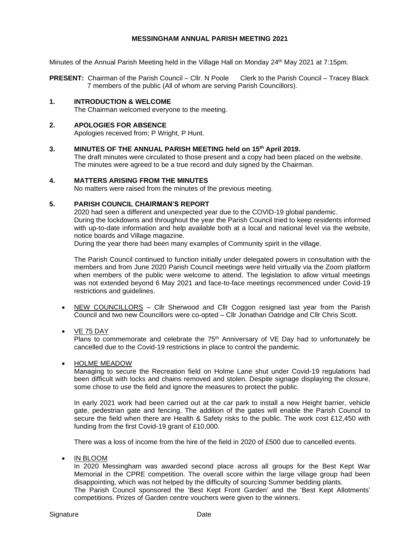### **MESSINGHAM ANNUAL PARISH MEETING 2021**

Minutes of the Annual Parish Meeting held in the Village Hall on Monday 24<sup>th</sup> May 2021 at 7:15pm.

**PRESENT:** Chairman of the Parish Council – Cllr. N Poole Clerk to the Parish Council – Tracey Black 7 members of the public (All of whom are serving Parish Councillors).

#### **1. INTRODUCTION & WELCOME**

The Chairman welcomed everyone to the meeting.

#### **2. APOLOGIES FOR ABSENCE**

Apologies received from; P Wright, P Hunt.

#### **3. MINUTES OF THE ANNUAL PARISH MEETING held on 15 th April 2019.**

The draft minutes were circulated to those present and a copy had been placed on the website. The minutes were agreed to be a true record and duly signed by the Chairman.

#### **4. MATTERS ARISING FROM THE MINUTES**

No matters were raised from the minutes of the previous meeting.

#### **5. PARISH COUNCIL CHAIRMAN'S REPORT**

2020 had seen a different and unexpected year due to the COVID-19 global pandemic. During the lockdowns and throughout the year the Parish Council tried to keep residents informed with up-to-date information and help available both at a local and national level via the website, notice boards and Village magazine.

During the year there had been many examples of Community spirit in the village.

The Parish Council continued to function initially under delegated powers in consultation with the members and from June 2020 Parish Council meetings were held virtually via the Zoom platform when members of the public were welcome to attend. The legislation to allow virtual meetings was not extended beyond 6 May 2021 and face-to-face meetings recommenced under Covid-19 restrictions and guidelines.

- NEW COUNCILLORS Cllr Sherwood and Cllr Coggon resigned last year from the Parish Council and two new Councillors were co-opted – Cllr Jonathan Oatridge and Cllr Chris Scott.
- VE 75 DAY

Plans to commemorate and celebrate the 75<sup>th</sup> Anniversary of VE Day had to unfortunately be cancelled due to the Covid-19 restrictions in place to control the pandemic.

• HOLME MEADOW

Managing to secure the Recreation field on Holme Lane shut under Covid-19 regulations had been difficult with locks and chains removed and stolen. Despite signage displaying the closure, some chose to use the field and ignore the measures to protect the public.

In early 2021 work had been carried out at the car park to install a new Height barrier, vehicle gate, pedestrian gate and fencing. The addition of the gates will enable the Parish Council to secure the field when there are Health & Safety risks to the public. The work cost £12,450 with funding from the first Covid-19 grant of £10,000.

There was a loss of income from the hire of the field in 2020 of £500 due to cancelled events.

• IN BLOOM

In 2020 Messingham was awarded second place across all groups for the Best Kept War Memorial in the CPRE competition. The overall score within the large village group had been disappointing, which was not helped by the difficulty of sourcing Summer bedding plants. The Parish Council sponsored the 'Best Kept Front Garden' and the 'Best Kept Allotments'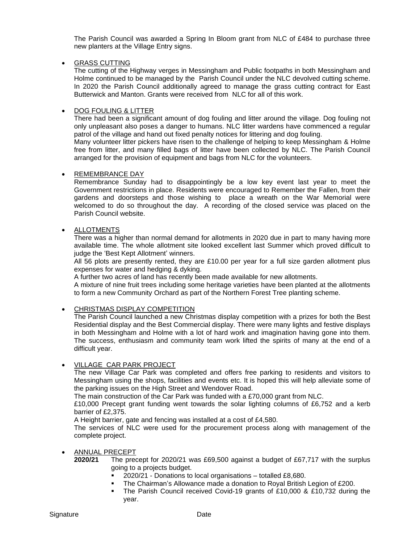The Parish Council was awarded a Spring In Bloom grant from NLC of £484 to purchase three new planters at the Village Entry signs.

### • GRASS CUTTING

The cutting of the Highway verges in Messingham and Public footpaths in both Messingham and Holme continued to be managed by the Parish Council under the NLC devolved cutting scheme. In 2020 the Parish Council additionally agreed to manage the grass cutting contract for East Butterwick and Manton. Grants were received from NLC for all of this work.

### • DOG FOULING & LITTER

There had been a significant amount of dog fouling and litter around the village. Dog fouling not only unpleasant also poses a danger to humans. NLC litter wardens have commenced a regular patrol of the village and hand out fixed penalty notices for littering and dog fouling.

Many volunteer litter pickers have risen to the challenge of helping to keep Messingham & Holme free from litter, and many filled bags of litter have been collected by NLC. The Parish Council arranged for the provision of equipment and bags from NLC for the volunteers.

### • REMEMBRANCE DAY

Remembrance Sunday had to disappointingly be a low key event last year to meet the Government restrictions in place. Residents were encouraged to Remember the Fallen, from their gardens and doorsteps and those wishing to place a wreath on the War Memorial were welcomed to do so throughout the day. A recording of the closed service was placed on the Parish Council website.

### **ALLOTMENTS**

There was a higher than normal demand for allotments in 2020 due in part to many having more available time. The whole allotment site looked excellent last Summer which proved difficult to judge the 'Best Kept Allotment' winners.

All 56 plots are presently rented, they are £10.00 per year for a full size garden allotment plus expenses for water and hedging & dyking.

A further two acres of land has recently been made available for new allotments.

A mixture of nine fruit trees including some heritage varieties have been planted at the allotments to form a new Community Orchard as part of the Northern Forest Tree planting scheme.

# • CHRISTMAS DISPLAY COMPETITION

The Parish Council launched a new Christmas display competition with a prizes for both the Best Residential display and the Best Commercial display. There were many lights and festive displays in both Messingham and Holme with a lot of hard work and imagination having gone into them. The success, enthusiasm and community team work lifted the spirits of many at the end of a difficult year.

#### • VILLAGE CAR PARK PROJECT

The new Village Car Park was completed and offers free parking to residents and visitors to Messingham using the shops, facilities and events etc. It is hoped this will help alleviate some of the parking issues on the High Street and Wendover Road.

The main construction of the Car Park was funded with a £70,000 grant from NLC.

£10,000 Precept grant funding went towards the solar lighting columns of £6,752 and a kerb barrier of £2,375.

A Height barrier, gate and fencing was installed at a cost of £4,580.

The services of NLC were used for the procurement process along with management of the complete project.

# • ANNUAL PRECEPT

**2020/21** The precept for 2020/21 was £69,500 against a budget of £67,717 with the surplus going to a projects budget.

- 2020/21 Donations to local organisations totalled £8,680.
	- The Chairman's Allowance made a donation to Royal British Legion of £200.
- The Parish Council received Covid-19 grants of £10,000 & £10,732 during the year.